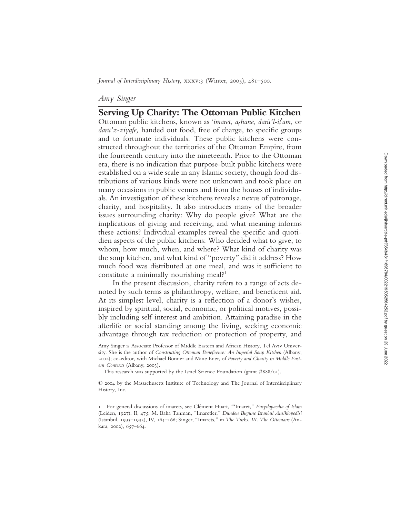*Journal of Interdisciplinary History,* xxxv:3 (Winter, 2005), 481–500.

## *Amy Singer*

# Ottoman public kitchens, known as '*imaret, ashane, darü'l-iț'am*, or<br>*darü'z-zivate* handed out food free of charge to specific groups *darü'z-ziyafe*, handed out food, free of charge, to specific groups and to fortunate individuals. These public kitchens were con structed throughout the territories of the Ottoman Empire, from the fourteenth century into the nineteenth. Prior to the Ottoman era, there is no indication that purpose-built public kitchens were established on a wide scale in any Islamic society, though food dis tributions of various kinds were not unknown and took place on many occasions in public venues and from the houses of individuals. An investigation of these kitchens reveals a nexus of patronage, charity, and hospitality. It also introduces many of the broader issues surrounding charity: Why do people give? What are the implications of giving and receiving, and what meaning informs these actions? Individual examples reveal the specific and quotidien aspects of the public kitchens: Who decided what to give, to whom, how much, when, and where? What kind of charity was the soup kitchen, and what kind of "poverty" did it address? How much food was distributed at one meal, and was it sufficient to constitute a minimally nourishing meal? 1

In the present discussion, charity refers to a range of acts denoted by such terms as philanthropy, welfare, and beneficent aid. At its simplest level, charity is a reflection of a donor's wishes, inspired by spiritual, social, economic, or political motives, possi bly including self-interest and ambition. Attaining paradise in the afterlife or social standing among the living, seeking economic advantage through tax reduction or protection of property, and

Amy Singer is Associate Professor of Middle Eastern and African History, Tel Aviv Univer sity. She is the author of *Constructing Ottoman Beneficence: An Imperial Soup Kitchen* (Albany, 2002); co-editor, with Michael Bonner and Mine Ener, of *Poverty and Charity in Middle East ern Contexts* (Albany, 2003).

This research was supported by the Israel Science Foundation (grant #888/01).

© 2004 by the Massachusetts Institute of Technology and The Journal of Interdisciplinary History, Inc.

1 For general discussions of imarets, see Clément Huart, "'Imaret," *Encyclopaedia of Islam* (Leiden, 1927), II, 475; M. Baha Tanman, "Imaretler," *Dünden Bugüne Jstanbul Ansiklopedisi* (Istanbul, 1993–1995), IV, 164–166; Singer, "Imarets," in *The Turks. III. The Ottomans* (An kara, 2002), 657–664.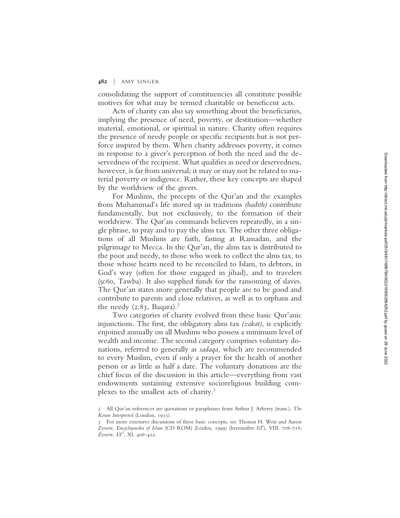consolidating the support of constituencies all constitute possible motives for what may be termed charitable or beneficent acts.

Acts of charity can also say something about the beneficiaries, implying the presence of need, poverty, or destitution—whether material, emotional, or spiritual in nature. Charity often requires the presence of needy people or specific recipients but is not perforce inspired by them. When charity addresses poverty, it comes in response to a giver's perception of both the need and the de servedness of the recipient. What qualifies as need or deservedness, however, is far from universal; it may or may not be related to ma terial poverty or indigence. Rather, these key concepts are shaped by the worldview of the givers.

For Muslims, the precepts of the Qur'an and the examples from Muhammad's life stored up in traditions *(hadith)* contribute fundamentally, but not exclusively, to the formation of their worldview. The Qur'an commands believers repeatedly, in a single phrase, to pray and to pay the alms tax. The other three obligations of all Muslims are faith, fasting at Ramadan, and the pilgrimage to Mecca. In the Qur'an, the alms tax is distributed to the poor and needy, to those who work to collect the alms tax, to those whose hearts need to be reconciled to Islam, to debtors, in God's way (often for those engaged in jihad), and to travelers (9:60, Tawba). It also supplied funds for the ransoming of slaves. The Qur'an states more generally that people are to be good and contribute to parents and close relatives, as well as to orphans and the needy (2:83, Baqara). 2

Two categories of charity evolved from these basic Qur'anic injunctions. The first, the obligatory alms tax *(zakat)*, is explicitly enjoined annually on all Muslims who possess a minimum level of wealth and income. The second category comprises voluntary do nations, referred to generally as *sadaqa,* which are recommended to every Muslim, even if only a prayer for the health of another person or as little as half a date. The voluntary donations are the chief focus of the discussion in this article—everything from vast endowments sustaining extensive socioreligious building com plexes to the smallest acts of charity. 3

<sup>2</sup> All Qur'an references are quotations or paraphrases from Arthur J. Arberry (trans.), *The Koran Interpreted* (London, 1955).

<sup>3</sup> For more extensive discussions of these basic concepts, see Thomas H. Weir and Aaron Zysow, *Encyclopaedia of Islam* (CD ROM) (Leiden, 1999) (hereinafter *EI*<sup>2</sup> ), VIII, 708–716; Zysow, *EI*<sup>2</sup>, XI, 406–422.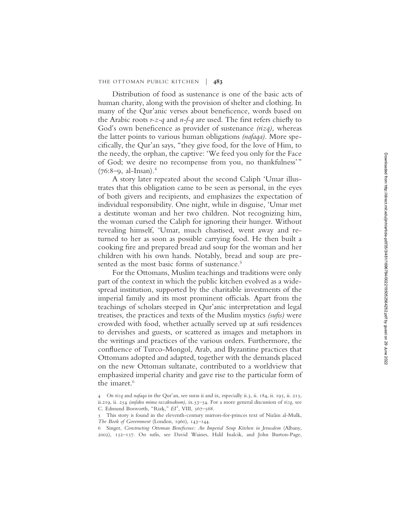Distribution of food as sustenance is one of the basic acts of human charity, along with the provision of shelter and clothing. In many of the Qur'anic verses about beneficence, words based on the Arabic roots  $r-z-q$  and  $n-f-q$  are used. The first refers chiefly to God's own beneficence as provider of sustenance *(rizq)*, whereas the latter points to various human obligations *(nafaqa).* More spe cifically, the Qur'an says, "they give food, for the love of Him, to the needy, the orphan, the captive: 'We feed you only for the Face of God; we desire no recompense from you, no thankfulness'" (76:8–9, al-Insan). 4

A story later repeated about the second Caliph 'Umar illus trates that this obligation came to be seen as personal, in the eyes of both givers and recipients, and emphasizes the expectation of individual responsibility. One night, while in disguise, 'Umar met a destitute woman and her two children. Not recognizing him, the woman cursed the Caliph for ignoring their hunger. Without revealing himself, 'Umar, much chastised, went away and returned to her as soon as possible carrying food. He then built a cooking fire and prepared bread and soup for the woman and her children with his own hands. Notably, bread and soup are presented as the most basic forms of sustenance.<sup>5</sup>

For the Ottomans, Muslim teachings and traditions were only part of the context in which the public kitchen evolved as a widespread institution, supported by the charitable investments of the imperial family and its most prominent officials. Apart from the teachings of scholars steeped in Qur'anic interpretation and legal treatises, the practices and texts of the Muslim mystics *(sufis)* were crowded with food, whether actually served up at sufi residences to dervishes and guests, or scattered as images and metaphors in the writings and practices of the various orders. Furthermore, the confluence of Turco-Mongol, Arab, and Byzantine practices that Ottomans adopted and adapted, together with the demands placed on the new Ottoman sultanate, contributed to a worldview that emphasized imperial charity and gave rise to the particular form of the imaret. 6

<sup>4</sup> *On rizq* and *nafaqa* in the Qur'an, see suras ii and ix, especially ii.3, ii. 184, ii. 195, ii. 215, ii.219, ii. 254 *(anfaku mima razaknakum),* ix.53–54. For a more general discussion of *rizq,* see C. Edmund Bosworth, "Rizk,"  $EI^2$ , VIII, 567-568.

<sup>5</sup> This story is found in the eleventh-century mirrors-for-princes text of Nizām al-Mulk,<br>
The Book of Covernment (London, 1960),  $142=144$ *The Book of Government* (London, 1960), 143–144.

<sup>6</sup> Singer, *Constructing Ottoman Beneficence: An Imperial Soup Kitchen in Jerusalem (Albany*, 2002), 152-157. On sufis, see David Waines, Halil Inalcik, and John Burton-Page,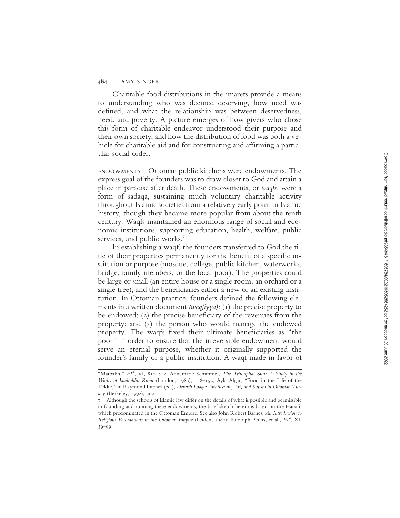Charitable food distributions in the imarets provide a means to understanding who was deemed deserving, how need was defined, and what the relationship was between deservedness, need, and poverty. A picture emerges of how givers who chose this form of charitable endeavor understood their purpose and their own society, and how the distribution of food was both a ve hicle for charitable aid and for constructing and affirming a particular social order.

endowments Ottoman public kitchens were endowments. The express goal of the founders was to draw closer to God and attain a place in paradise after death. These endowments, or *waqfs,* were a form of sadaqa, sustaining much voluntary charitable activity throughout Islamic societies from a relatively early point in Islamic history, though they became more popular from about the tenth century. Waqfs maintained an enormous range of social and economic institutions, supporting education, health, welfare, public services, and public works. 7

In establishing a waqf, the founders transferred to God the title of their properties permanently for the benefit of a specific institution or purpose (mosque, college, public kitchen, waterworks, bridge, family members, or the local poor). The properties could be large or small (an entire house or a single room, an orchard or a single tree), and the beneficiaries either a new or an existing institution. In Ottoman practice, founders defined the following elements in a written document *(waqfiyya)*: (1) the precise property to be endowed;  $(2)$  the precise beneficiary of the revenues from the property; and (3) the person who would manage the endowed property. The waqfs fixed their ultimate beneficiaries as "the poor" in order to ensure that the irreversible endowment would serve an eternal purpose, whether it originally supported the founder's family or a public institution. A waqf made in favor of

<sup>&</sup>quot;Matbakh," EI<sup>2</sup>, VI, 810-812; Annemarie Schimmel, *The Triumphal Sun: A Study in the Works of Jalalüddin Rumi* (London, 1980), 138–152; Ayla Algar, "Food in the Life of the Tekke," in Raymond Lifchez (ed.), *Dervish Lodge: Architecture, Art, and Sufism in Ottoman Turkey* (Berkeley, 1992), 302.

<sup>7</sup> Although the schools of Islamic law differ on the details of what is possible and permissible in founding and running these endowments, the brief sketch herein is based on the Hanafi,<br>which predominated in the Ottoman Empire, See also John B obert Barnes. An Introduction to which predominated in the Ottoman Empire. See also John Robert Barnes, *An Introduction to Religious Foundations in the Ottoman Empire* (Leiden, 1987); Rudolph Peters, et al., *EI* 2 , XI, 59–99.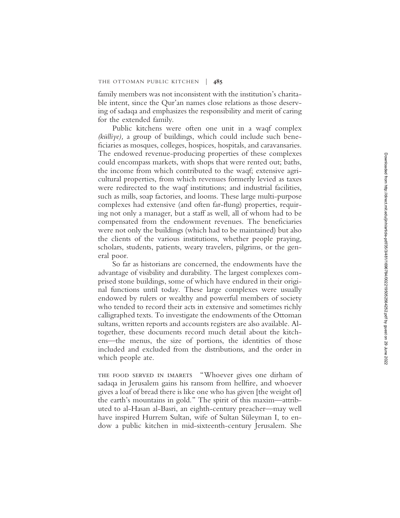family members was not inconsistent with the institution's charita ble intent, since the Qur'an names close relations as those deserv ing of sadaqa and emphasizes the responsibility and merit of caring for the extended family.

Public kitchens were often one unit in a waqf complex *(külliye),* a group of buildings, which could include such bene ficiaries as mosques, colleges, hospices, hospitals, and caravansaries. The endowed revenue-producing properties of these complexes could encompass markets, with shops that were rented out; baths, the income from which contributed to the waqf; extensive agri cultural properties, from which revenues formerly levied as taxes were redirected to the waqf institutions; and industrial facilities, such as mills, soap factories, and looms. These large multi-purpose complexes had extensive (and often far-flung) properties, requiring not only a manager, but a staff as well, all of whom had to be compensated from the endowment revenues. The beneficiaries were not only the buildings (which had to be maintained) but also the clients of the various institutions, whether people praying, scholars, students, patients, weary travelers, pilgrims, or the general poor.

So far as historians are concerned, the endowments have the advantage of visibility and durability. The largest complexes comprised stone buildings, some of which have endured in their original functions until today. These large complexes were usually endowed by rulers or wealthy and powerful members of society who tended to record their acts in extensive and sometimes richly calligraphed texts. To investigate the endowments of the Ottoman sultans, written reports and accounts registers are also available. Altogether, these documents record much detail about the kitchens—the menus, the size of portions, the identities of those included and excluded from the distributions, and the order in which people ate.

the food served in imarets "Whoever gives one dirham of sadaqa in Jerusalem gains his ransom from hellfire, and whoever gives a loaf of bread there is like one who has given [the weight of] the earth's mountains in gold." The spirit of this maxim—attrib uted to al-Hasan al-Basri, an eighth-century preacher—may well have inspired Hurrem Sultan, wife of Sultan Süleyman I, to en dow a public kitchen in mid-sixteenth-century Jerusalem. She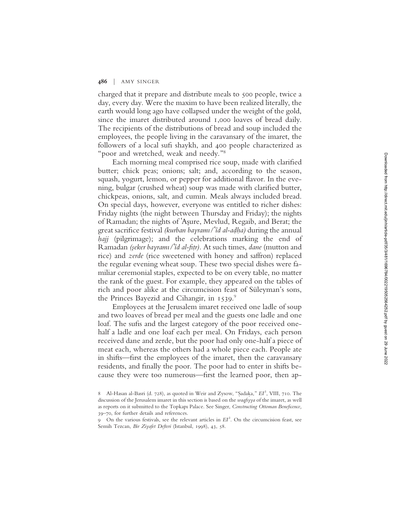charged that it prepare and distribute meals to 500 people, twice a day, every day. Were the maxim to have been realized literally, the earth would long ago have collapsed under the weight of the gold, since the imaret distributed around 1,000 loaves of bread daily. The recipients of the distributions of bread and soup included the employees, the people living in the caravansary of the imaret, the followers of a local sufi shaykh, and 400 people characterized as "poor and wretched, weak and needy." 8

Each morning meal comprised rice soup, made with clarified butter; chick peas; onions; salt; and, according to the season, squash, yogurt, lemon, or pepper for additional flavor. In the evening, bulgar (crushed wheat) soup was made with clarified butter, chickpeas, onions, salt, and cumin. Meals always included bread. On special days, however, everyone was entitled to richer dishes: Friday nights (the night between Thursday and Friday); the nights of Ramadan; the nights of 'Aşure, Mevlud, Regaib, and Berat; the<br>great sacrifice festival *(kurban hayramı*/'īd al-adha) during the annual great sacrifice festival *(kurban bayramı/'id al-adha)* during the annual<br>*haii* (pilorimage): and the celebrations marking the end of *hajj* (pilgrimage); and the celebrations marking the end of Ramadan (seker havrami/ $\overline{d}$  al-fitr). At such times *dane* (mutton and Ramadan *(seker bayramı* / td al-*fitr)*. At such times, *dane* (mutton and<br>rice) and *zerde* (rice sweetened with honey and saffron) replaced *î*rice) and *zerde* (rice sweetened with honey and saffron) replaced the regular evening wheat soup. These two special dishes were familiar ceremonial staples, expected to be on every table, no matter the rank of the guest. For example, they appeared on the tables of rich and poor alike at the circumcision feast of Süleyman's sons, the Princes Bayezid and Cihangir, in 1539.9

Employees at the Jerusalem imaret received one ladle of soup and two loaves of bread per meal and the guests one ladle and one loaf. The sufis and the largest category of the poor received onehalf a ladle and one loaf each per meal. On Fridays, each person received dane and zerde, but the poor had only one-half a piece of meat each, whereas the others had a whole piece each. People ate in shifts—first the employees of the imaret, then the caravansary residents, and finally the poor. The poor had to enter in shifts because they were too numerous—first the learned poor, then ap-

<sup>8</sup> Al-Hasan al-Basri (d. 728), as quoted in Weir and Zysow, "Sadaka,"  $EI^2$ , VIII, 710. The discussion of the Jerusalem imaret in this section is based on the *waqfiyya* of the imaret, as well as reports on it submitted to the Topkapı Palace. See Singer, *Constructing Ottoman Beneficence*,<br>20–70, for further details and references 39–70, for further details and references.

<sup>9</sup> On the various festivals, see the relevant articles in *EI* 2 . On the circumcision feast, see Semih Tezcan, *Bir Ziyafet Defteri* (Istanbul, 1998), 43, 58.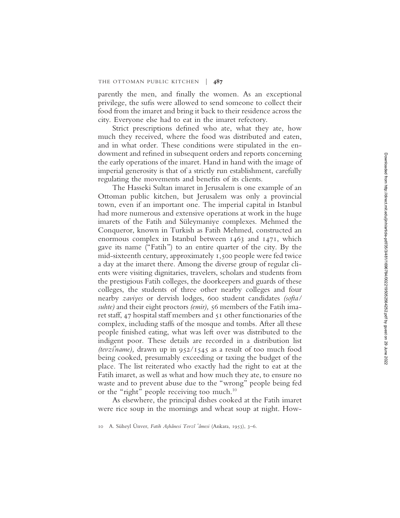parently the men, and finally the women. As an exceptional privilege, the sufis were allowed to send someone to collect their food from the imaret and bring it back to their residence across the city. Everyone else had to eat in the imaret refectory.

Strict prescriptions defined who ate, what they ate, how much they received, where the food was distributed and eaten, and in what order. These conditions were stipulated in the en dowment and refined in subsequent orders and reports concerning the early operations of the imaret. Hand in hand with the image of imperial generosity is that of a strictly run establishment, carefully regulating the movements and benefits of its clients.

The Hasseki Sultan imaret in Jerusalem is one example of an Ottoman public kitchen, but Jerusalem was only a provincial town, even if an important one. The imperial capital in Istanbul had more numerous and extensive operations at work in the huge imarets of the Fatih and Süleymaniye complexes. Mehmed the Conqueror, known in Turkish as Fatih Mehmed, constructed an enormous complex in Istanbul between 1463 and 1471, which gave its name ("Fatih") to an entire quarter of the city. By the mid-sixteenth century, approximately 1,500 people were fed twice a day at the imaret there. Among the diverse group of regular clients were visiting dignitaries, travelers, scholars and students from the prestigious Fatih colleges, the doorkeepers and guards of these colleges, the students of three other nearby colleges and four nearby *zaviyes* or dervish lodges, 600 student candidates *(softa/ suhte)* and their eight proctors *(emir),* 56 members of the Fatih imaret staff, 47 hospital staff members and 51 other functionaries of the complex, including staffs of the mosque and tombs. After all these people finished eating, what was left over was distributed to the indigent poor. These details are recorded in a distribution list *(tevzi (name),* drawn up in 952/1545 as a result of too much food being cooked, presumably exceeding or taxing the budget of the place. The list reiterated who exactly had the right to eat at the Fatih imaret, as well as what and how much they ate, to ensure no waste and to prevent abuse due to the "wrong" people being fed or the "right" people receiving too much.<sup>10</sup>

As elsewhere, the principal dishes cooked at the Fatih imaret were rice soup in the mornings and wheat soup at night. How -

<sup>10</sup> A. Süheyl Ünver, *Fatih A qhânesi Tevzî (âmesi* (Ankara, 1953), 3–6.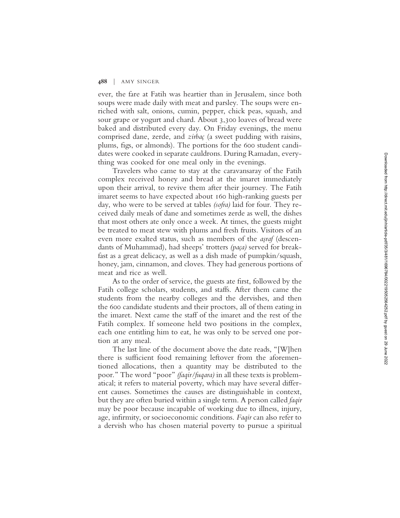ever, the fare at Fatih was heartier than in Jerusalem, since both soups were made daily with meat and parsley. The soups were en riched with salt, onions, cumin, pepper, chick peas, squash, and sour grape or yogurt and chard. About 3,300 loaves of bread were baked and distributed every day. On Friday evenings, the menu comprised dane, zerde, and *zirbaç* (a sweet pudding with raisins, plums, figs, or almonds). The portions for the 600 student candidates were cooked in separate cauldrons. During Ramadan, every thing was cooked for one meal only in the evenings.

Travelers who came to stay at the caravansaray of the Fatih complex received honey and bread at the imaret immediately upon their arrival, to revive them after their journey. The Fatih imaret seems to have expected about 160 high-ranking guests per day, who were to be served at tables *(sofra)* laid for four. They received daily meals of dane and sometimes zerde as well, the dishes that most others ate only once a week. At times, the guests might be treated to meat stew with plums and fresh fruits. Visitors of an even more exalted status, such as members of the *aşraf* (descen-<br>dants of Muhammad), had sheeps' trotters *(naca*) served for breakdants of Muhammad), had sheeps' trotters *(paça)* served for breakfast as a great delicacy, as well as a dish made of pumpkin/squash, honey, jam, cinnamon, and cloves. They had generous portions of meat and rice as well.

As to the order of service, the guests ate first, followed by the Fatih college scholars, students, and staffs. After them came the students from the nearby colleges and the dervishes, and then the 600 candidate students and their proctors, all of them eating in the imaret. Next came the staff of the imaret and the rest of the Fatih complex. If someone held two positions in the complex, each one entitling him to eat, he was only to be served one por tion at any meal.

The last line of the document above the date reads, "[W]hen there is sufficient food remaining leftover from the aforementioned allocations, then a quantity may be distributed to the poor." The word "poor" *(faqir/fuqara)* in all these texts is problem atical; it refers to material poverty, which may have several differ ent causes. Sometimes the causes are distinguishable in context, but they are often buried within a single term. A person called *faqir* may be poor because incapable of working due to illness, injury, age, infirmity, or socioeconomic conditions. *Faqir* can also refer to a dervish who has chosen material poverty to pursue a spiritual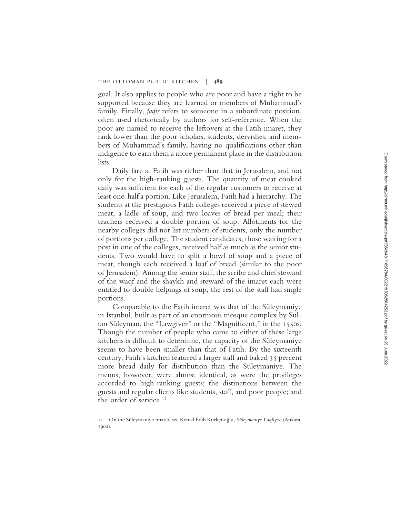goal. It also applies to people who are poor and have a right to be supported because they are learned or members of Muhammad's family. Finally, *faqir* refers to someone in a subordinate position, often used rhetorically by authors for self-reference. When the poor are named to receive the leftovers at the Fatih imaret, they rank lower than the poor scholars, students, dervishes, and mem bers of Muhammad's family, having no qualifications other than indigence to earn them a more permanent place in the distribution lists.

Daily fare at Fatih was richer than that in Jerusalem, and not only for the high-ranking guests. The quantity of meat cooked daily was sufficient for each of the regular customers to receive at least one-half a portion. Like Jerusalem, Fatih had a hierarchy. The students at the prestigious Fatih colleges received a piece of stewed meat, a ladle of soup, and two loaves of bread per meal; their teachers received a double portion of soup. Allotments for the nearby colleges did not list numbers of students, only the number of portions per college. The student candidates, those waiting for a post in one of the colleges, received half as much as the senior students. Two would have to split a bowl of soup and a piece of meat, though each received a loaf of bread (similar to the poor of Jerusalem). Among the senior staff, the scribe and chief steward of the waqf and the shaykh and steward of the imaret each were entitled to double helpings of soup; the rest of the staff had single portions.

Comparable to the Fatih imaret was that of the Süleymaniye in Istanbul, built as part of an enormous mosque complex by Sultan Süleyman, the "Lawgiver" or the "Magnificent," in the 1550s. Though the number of people who came to either of these large kitchens is difficult to determine, the capacity of the Süleymaniye seems to have been smaller than that of Fatih. By the sixteenth century, Fatih's kitchen featured a larger staff and baked 35 percent more bread daily for distribution than the Süleymaniye. The menus, however, were almost identical, as were the privileges accorded to high-ranking guests; the distinctions between the guests and regular clients like students, staff, and poor people; and the order of service.<sup>11</sup>

<sup>11</sup> On the Süleymaniye imaret, see Kemal Edib Kürkçüoğlu, *Süleymaniye Vakfiyesi* (Ankara,<br>1062) 1962).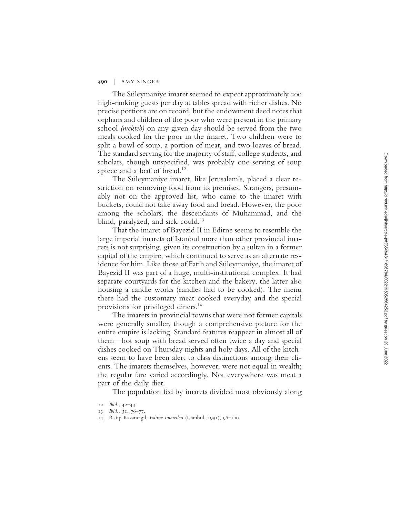The Süleymaniye imaret seemed to expect approximately 200 high-ranking guests per day at tables spread with richer dishes. No precise portions are on record, but the endowment deed notes that orphans and children of the poor who were present in the primary school *(mekteb)* on any given day should be served from the two meals cooked for the poor in the imaret. Two children were to split a bowl of soup, a portion of meat, and two loaves of bread. The standard serving for the majority of staff, college students, and scholars, though unspecified, was probably one serving of soup apiece and a loaf of bread.<sup>12</sup>

The Süleymaniye imaret, like Jerusalem's, placed a clear re striction on removing food from its premises. Strangers, presum ably not on the approved list, who came to the imaret with buckets, could not take away food and bread. However, the poor among the scholars, the descendants of Muhammad, and the blind, paralyzed, and sick could.<sup>13</sup>

That the imaret of Bayezid II in Edirne seems to resemble the large imperial imarets of Istanbul more than other provincial imarets is not surprising, given its construction by a sultan in a former capital of the empire, which continued to serve as an alternate residence for him. Like those of Fatih and Süleymaniye, the imaret of Bayezid II was part of a huge, multi-institutional complex. It had separate courtyards for the kitchen and the bakery, the latter also housing a candle works (candles had to be cooked). The menu there had the customary meat cooked everyday and the special provisions for privileged diners.<sup>14</sup>

The imarets in provincial towns that were not former capitals were generally smaller, though a comprehensive picture for the entire empire is lacking. Standard features reappear in almost all of them—hot soup with bread served often twice a day and special dishes cooked on Thursday nights and holy days. All of the kitch ens seem to have been alert to class distinctions among their cli ents. The imarets themselves, however, were not equal in wealth; the regular fare varied accordingly. Not everywhere was meat a part of the daily diet.

The population fed by imarets divided most obviously along

<sup>12</sup> *Ibid.,* 42–43.

<sup>13</sup> *Ibid.,* 31, 76–77.

<sup>14</sup> Ratip Kazancıgil, *Edirne İmaretleri* (Istanbul, 1991), 96–100.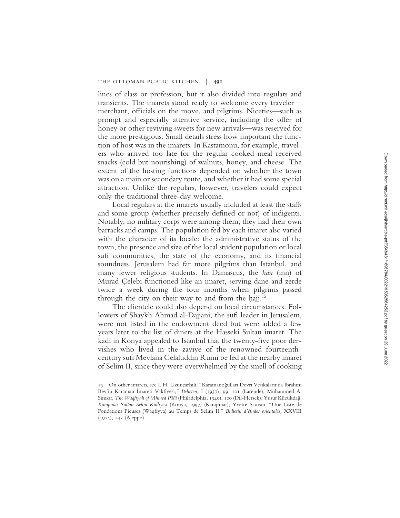lines of class or profession, but it also divided into regulars and transients. The imarets stood ready to welcome every traveler merchant, officials on the move, and pilgrims. Niceties—such as prompt and especially attentive service, including the offer of honey or other reviving sweets for new arrivals—was reserved for the more prestigious. Small details stress how important the func tion of host was in the imarets. In Kastamonu, for example, travel ers who arrived too late for the regular cooked meal received snacks (cold but nourishing) of walnuts, honey, and cheese. The extent of the hosting functions depended on whether the town was on a main or secondary route, and whether it had some special attraction. Unlike the regulars, however, travelers could expect only the traditional three-day welcome.

Local regulars at the imarets usually included at least the staffs and some group (whether precisely defined or not) of indigents. Notably, no military corps were among them; they had their own barracks and camps. The population fed by each imaret also varied with the character of its locale: the administrative status of the town, the presence and size of the local student population or local sufi communities, the state of the economy, and its financial soundness. Jerusalem had far more pilgrims than Istanbul, and many fewer religious students. In Damascus, the *han* (inn) of Murad Çelebi functioned like an imaret, serving dane and zerde twice a week during the four months when pilgrims passed through the city on their way to and from the hajj.<sup>15</sup><br>The clientele could also depend on local circums

The clientele could also depend on local circumstances. Followers of Shaykh Ahmad al-Dajjani, the sufi leader in Jerusalem, were not listed in the endowment deed but were added a few years later to the list of diners at the Hasseki Sultan imaret. The kadi in Konya appealed to Istanbul that the twenty-five poor dervishes who lived in the zaviye of the renowned fourteenthcentury sufi Mevlana Celaluddin Rumi be fed at the nearby imaret of Selim II, since they were overwhelmed by the smell of cooking

<sup>15</sup> On other imarets, see I. H. Uzunçarlşılı, "Karamanoğulları Devri Vesikalarında İbrahim<br>Bev'in Karaman İmareti Vakfıyesi " *Belleten* J. (1027), 00, 101 (Larende): Muhammed A Bey'in Karaman İmareti Vakfiyesi," *Belleten,* I (1937), 99, 101 (Larende); Muhammed A.<br>Simear *The Wasfiyeh of 'Ahmed Pāšā* (Philodelphia, 1940), 100 (Dil Hersek); Vusuf Küçükdağ Simsar, *The Waqfiyah of 'Ahmed Pāšā* (Philadelphia, 1940), 100 (Dil-Hersek); Yusuf Küçükdağ,<br>*Karanyar, Sultan, Selim, Külliyesi (Konya, 1*007) (Karanyar); Yyette Sauyan, "Une Liste de g *Karap înar Sultan Selim Külliyesi* (Konya, 1997) (Karap înar); Yvette Sauvan, "Une Liste de Fondations Pieuses (Waqfiyya) au Temps de Selim II," *Bulletin d'études orientales*, XXVIII (1975), 243 (Aleppo).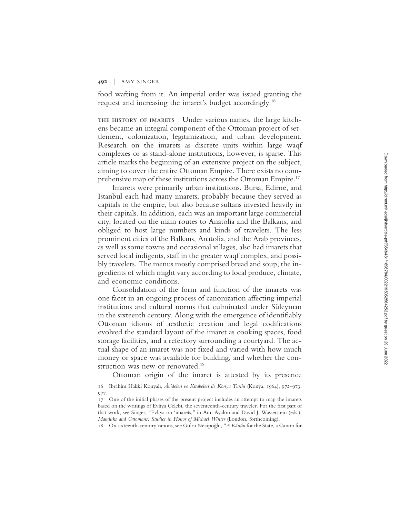food wafting from it. An imperial order was issued granting the request and increasing the imaret's budget accordingly.<sup>16</sup>

THE HISTORY OF IMARETS Under various names, the large kitchens became an integral component of the Ottoman project of set tlement, colonization, legitimization, and urban development. Research on the imarets as discrete units within large waqf complexes or as stand-alone institutions, however, is sparse. This article marks the beginning of an extensive project on the subject, aiming to cover the entire Ottoman Empire. There exists no com prehensive map of these institutions across the Ottoman Empire.<sup>17</sup>

Imarets were primarily urban institutions. Bursa, Edirne, and Istanbul each had many imarets, probably because they served as capitals to the empire, but also because sultans invested heavily in their capitals. In addition, each was an important large commercial city, located on the main routes to Anatolia and the Balkans, and obliged to host large numbers and kinds of travelers. The less prominent cities of the Balkans, Anatolia, and the Arab provinces, as well as some towns and occasional villages, also had imarets that served local indigents, staff in the greater waqf complex, and possibly travelers. The menus mostly comprised bread and soup, the ingredients of which might vary according to local produce, climate, and economic conditions.

Consolidation of the form and function of the imarets was one facet in an ongoing process of canonization affecting imperial institutions and cultural norms that culminated under Süleyman in the sixteenth century. Along with the emergence of identifiably Ottoman idioms of aesthetic creation and legal codifications evolved the standard layout of the imaret as cooking spaces, food storage facilities, and a refectory surrounding a courtyard. The ac tual shape of an imaret was not fixed and varied with how much money or space was available for building, and whether the con struction was new or renovated.<sup>18</sup>

Ottoman origin of the imaret is attested by its presence

18 On sixteenth-century canons, see Gülru Necipo glu, "*A Kânûn* for the State, a Canon for

<sup>16</sup> Ibrahim Hakki Konyalî, *Âbideleri ve Kitabeleri ile Konya Tarihi* (Konya, 1964), 972–973, 977.

<sup>17</sup> One of the initial phases of the present project includes an attempt to map the imarets based on the writings of Evliya Çelebi, the seventeenth-century traveler. For the first part of that work, see Singer, "Evliya on 'imarets," in Ami Ayalon and David J. Wasserstein (eds.), *Mamluks and Ottomans: Studies in Honor of Michael Winter* (London, forthcoming).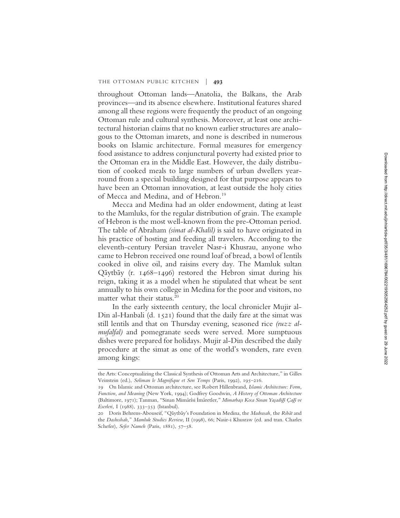throughout Ottoman lands—Anatolia, the Balkans, the Arab provinces—and its absence elsewhere. Institutional features shared among all these regions were frequently the product of an ongoing Ottoman rule and cultural synthesis. Moreover, at least one archi tectural historian claims that no known earlier structures are analo gous to the Ottoman imarets, and none is described in numerous books on Islamic architecture. Formal measures for emergency food assistance to address conjunctural poverty had existed prior to the Ottoman era in the Middle East. However, the daily distribu tion of cooked meals to large numbers of urban dwellers yearround from a special building designed for that purpose appears to have been an Ottoman innovation, at least outside the holy cities of Mecca and Medina, and of Hebron.<sup>19</sup>

Mecca and Medina had an older endowment, dating at least to the Mamluks, for the regular distribution of grain. The example of Hebron is the most well-known from the pre-Ottoman period. The table of Abraham *(simat al-Khalil)* is said to have originated in his practice of hosting and feeding all travelers. According to the eleventh-century Persian traveler Nasr-i Khusrau, anyone who came to Hebron received one round loaf of bread, a bowl of lentils cooked in olive oil, and raisins every day. The Mamluk sultan Qāytbāy (r. 1468–1496) restored the Hebron simat during his reign, taking it as a model when he stipulated that wheat be sent annually to his own college in Medina for the poor and visitors, no matter what their status.<sup>20</sup>

In the early sixteenth century, the local chronicler Mujir al-Din al-Hanbali (d. 1521) found that the daily fare at the simat was still lentils and that on Thursday evening, seasoned rice *(ruzz almufalfal)* and pomegranate seeds were served. More sumptuous dishes were prepared for holidays. Mujir al-Din described the daily procedure at the simat as one of the world's wonders, rare even among kings:

the Arts: Conceptualizing the Classical Synthesis of Ottoman Arts and Architecture," in Gilles Veinstein (ed.), *Soliman le Magnifique et Son Temps* (Paris, 1992), 195-216.

<sup>19</sup> On Islamic and Ottoman architecture, see Robert Hillenbrand, *Islamic Architecture: Form, Function, and Meaning* (New York, 1994); Godfrey Goodwin, *A History of Ottoman Architecture* (Baltimore, 1971); Tanman, "Sinan Mimârîsi Jmâretler," *Mimarbaqí Koca Sinan Ya qadigi Çagi ve Eserleri,* I (1988), 333–353 (Istanbul).

<sup>20</sup> Doris Behrens-Abouseif, "Qāytbāy's Foundation in Medina, the *Madrasah*, the *Ribāt* and<br>the *Dashybah " Mamluk Studies Review* II (1008), 66: Nasir-i Khusraw (ed. and tran. Charles *a* the *Dash îshah,* " *Mamluk Studies Review,* II (1998), 66; Nasir-i Khusraw (ed. and tran. Charles Schefer), *Sefer Nameh* (Paris, 1881), 57–58.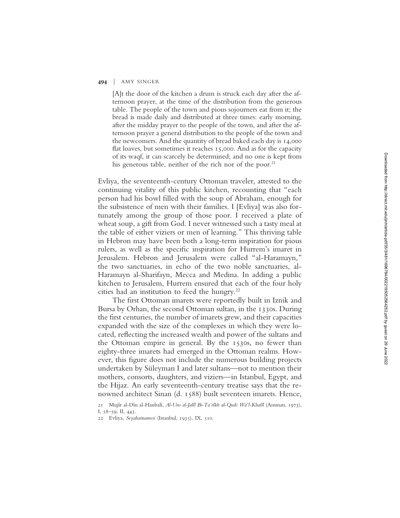[A]t the door of the kitchen a drum is struck each day after the afternoon prayer, at the time of the distribution from the generous table. The people of the town and pious sojourners eat from it; the bread is made daily and distributed at three times: early morning, after the midday prayer to the people of the town, and after the afternoon prayer a general distribution to the people of the town and the newcomers. And the quantity of bread baked each day is 14,000 flat loaves, but sometimes it reaches  $15,000$ . And as for the capacity of its waqf, it can scarcely be determined; and no one is kept from his generous table, neither of the rich nor of the poor.<sup>21</sup>

Evliya, the seventeenth-century Ottoman traveler, attested to the continuing vitality of this public kitchen, recounting that "each person had his bowl filled with the soup of Abraham, enough for the subsistence of men with their families. I [Evliya] was also fortunately among the group of those poor. I received a plate of wheat soup, a gift from God. I never witnessed such a tasty meal at the table of either viziers or men of learning." This thriving table in Hebron may have been both a long-term inspiration for pious rulers, as well as the specific inspiration for Hurrem's imaret in Jerusalem. Hebron and Jerusalem were called "al-Haramayn," the two sanctuaries, in echo of the two noble sanctuaries, al-Haramayn al-Sharifayn, Mecca and Medina. In adding a public kitchen to Jerusalem, Hurrem ensured that each of the four holy cities had an institution to feed the hungry.<sup>22</sup>

The first Ottoman imarets were reportedly built in Iznik and Bursa by Orhan, the second Ottoman sultan, in the 1330s. During the first centuries, the number of imarets grew, and their capacities expanded with the size of the complexes in which they were lo cated, reflecting the increased wealth and power of the sultans and the Ottoman empire in general. By the 1530s, no fewer than eighty-three imarets had emerged in the Ottoman realms. How ever, this figure does not include the numerous building projects undertaken by Süleyman I and later sultans—not to mention their mothers, consorts, daughters, and viziers—in Istanbul, Egypt, and the Hijaz. An early seventeenth-century treatise says that the re nowned architect Sinan (d. 1588) built seventeen imarets. Hence,

22 Evliya, *Seyahatnamesi* (Istanbul, 1935), IX, 510.

<sup>21</sup> Mujîr al-Dîn al-Hanbalî, *Al-Uns al-Jalîl Bi-Ta'rîkh al-Quds Wa'l-Khalîl* (Amman, 1973), I, 58–59; II, 443.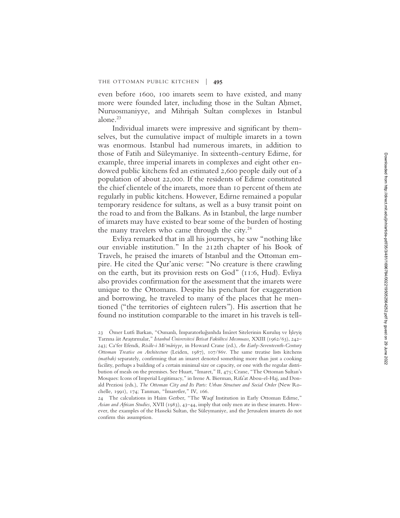even before 1600, 100 imarets seem to have existed, and many more were founded later, including those in the Sultan A hmet, Nuruosmaniyye, and Mihrişah Sultan complexes in Istanbul<br>alone<sup>23</sup> alone.<sup>23</sup>

Individual imarets were impressive and significant by themselves, but the cumulative impact of multiple imarets in a town was enormous. Istanbul had numerous imarets, in addition to those of Fatih and Süleymaniye. In sixteenth-century Edirne, for example, three imperial imarets in complexes and eight other en dowed public kitchens fed an estimated 2,600 people daily out of a population of about 22,000. If the residents of Edirne constituted the chief clientele of the imarets, more than 10 percent of them ate regularly in public kitchens. However, Edirne remained a popular temporary residence for sultans, as well as a busy transit point on the road to and from the Balkans. As in Istanbul, the large number of imarets may have existed to bear some of the burden of hosting the many travelers who came through the city. $24$ 

Evliya remarked that in all his journeys, he saw "nothing like our enviable institution." In the 212th chapter of his Book of Travels, he praised the imarets of Istanbul and the Ottoman empire. He cited the Qur'anic verse: "No creature is there crawling on the earth, but its provision rests on God" (11:6, Hud). Evliya also provides confirmation for the assessment that the imarets were unique to the Ottomans. Despite his penchant for exaggeration and borrowing, he traveled to many of the places that he mentioned ("the territories of eighteen rulers"). His assertion that he found no institution comparable to the imaret in his travels is tell-

24 The calculations in Haim Gerber, "The Waqf Institution in Early Ottoman Edirne," *Asian and African Studies,* XVII (1983), 43–44, imply that only men ate in these imarets. How ever, the examples of the Hasseki Sultan, the Süleymaniye, and the Jerusalem imarets do not confirm this assumption.

<sup>23 -</sup> Ömer Lutfi Barkan, "Osmanlı, İmparatorluğunhda İmâret Sitelerinin Kuruluş ve İşleyi<br>Tarzına âit Arastırmalar " İstanbul Üniversitesi İktisat Eakültesi Mecmuası, XXIII (1062/62), 242ì q Tarz ìna âit Ara t ìrmalar," *Jstanbul Üniversitesi Jktisat Fakültesi Mecmuas ,* XXIII (1962/63), 242– q *î* 243; Ca'fer Efendi, *Ris ale-i Mi'm ariyye,* in Howard Crane (ed.), *An Early-Seventeenth-Century Ottoman Treatise on Architecture* (Leiden, 1987), 107/86v. The same treatise lists kitchens *(matbah)* separately, confirming that an imaret denoted something more than just a cooking facility, perhaps a building of a certain minimal size or capacity, or one with the regular distribution of meals on the premises. See Huart, "Imaret," II, 475; Crane, "The Ottoman Sultan's Mosques: Icons of Imperial Legitimacy," in Irene A. Bierman, Rifa'at Abou-el-Haj, and Don-<br>ald Preziosi (eds.). *The Ottoman City and Its Parts: Urban Structure and Social Order* (New B.o. ald Preziosi (eds.), *The Ottoman City and Its Parts: Urban Structure and Social Order* (New Ro chelle, 1991), 174; Tanman, "İmaretler," IV, 166.<br>24 The calculations in Haim Gerber. "The Wa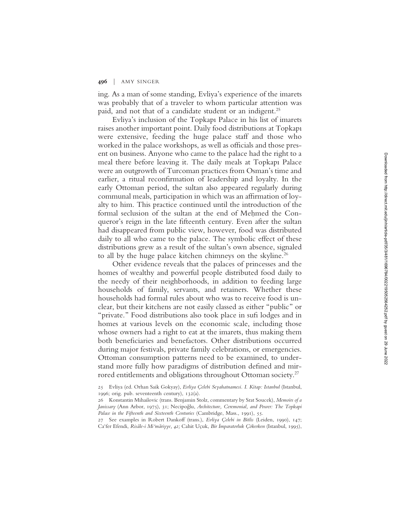ing. As a man of some standing, Evliya's experience of the imarets was probably that of a traveler to whom particular attention was paid, and not that of a candidate student or an indigent.<sup>25</sup>

Evliya's inclusion of the Topkapı Palace in his list of imarets<br>sanother important point. Daily food distributions at Topkapı raises another important point. Daily food distributions at Topkap were extensive, feeding the huge palace staff and those who worked in the palace workshops, as well as officials and those present on business. Anyone who came to the palace had the right to a meal there before leaving it. The daily meals at Topkap î Palace were an outgrowth of Turcoman practices from Osman's time and earlier, a ritual reconfirmation of leadership and loyalty. In the early Ottoman period, the sultan also appeared regularly during communal meals, participation in which was an affirmation of loyalty to him. This practice continued until the introduction of the formal seclusion of the sultan at the end of Mehmed the Con-<br>queror's reign in the late fifteenth century. Even after the sultan queror's reign in the late fifteenth century. Even after the sultan had disappeared from public view, however, food was distributed daily to all who came to the palace. The symbolic effect of these distributions grew as a result of the sultan's own absence, signaled to all by the huge palace kitchen chimneys on the skyline.<sup>26</sup>

Other evidence reveals that the palaces of princesses and the homes of wealthy and powerful people distributed food daily to the needy of their neighborhoods, in addition to feeding large households of family, servants, and retainers. Whether these households had formal rules about who was to receive food is unclear, but their kitchens are not easily classed as either "public" or "private." Food distributions also took place in sufi lodges and in homes at various levels on the economic scale, including those whose owners had a right to eat at the imarets, thus making them both beneficiaries and benefactors. Other distributions occurred during major festivals, private family celebrations, or emergencies. Ottoman consumption patterns need to be examined, to under stand more fully how paradigms of distribution defined and mirrored entitlements and obligations throughout Ottoman society.<sup>27</sup>

<sup>25</sup> Evliya (ed. Orhan Saik Gokyay), *Evliya Çelebi Seyahatnamesi. I. Kitap: Istanbul* (Istanbul, 1996; orig. pub. seventeenth century), 132(a).

<sup>26</sup> Konstantin Mihailovic (trans. Benjamin Stolz, commentary by Srat Soucek), *Memoirs of a Janissary* (Ann Arbor, 1975), 31; Necipo glu, *Architecture, Ceremonial, and Power: The Topkapi Palace in the Fifteenth and Sixteenth Centuries* (Cambridge, Mass., 1991), 55.

<sup>27</sup> See examples in Robert Dankoff (trans.), *Evliya Çelebi in Bitlis* (Leiden, 1990), 147; Ca'fer Efendi, *Ris ale-i Mi'm ariyye, 42;* Cahit Uçuk, *Bir Jmparatorluk Çökerken* (Istanbul, 1995),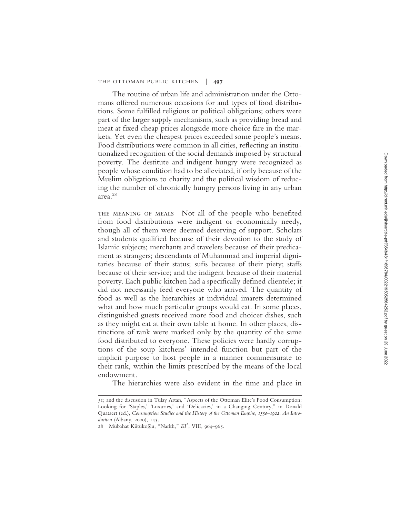# THE OTTOMAN PUBLIC KITCHEN <sup>|</sup> **497**

The routine of urban life and administration under the Otto mans offered numerous occasions for and types of food distribu tions. Some fulfilled religious or political obligations; others were part of the larger supply mechanisms, such as providing bread and meat at fixed cheap prices alongside more choice fare in the markets. Yet even the cheapest prices exceeded some people's means. Food distributions were common in all cities, reflecting an institutionalized recognition of the social demands imposed by structural poverty. The destitute and indigent hungry were recognized as people whose condition had to be alleviated, if only because of the Muslim obligations to charity and the political wisdom of reduc ing the number of chronically hungry persons living in any urban area.<sup>28</sup>

THE MEANING OF MEALS Not all of the people who benefited from food distributions were indigent or economically needy, though all of them were deemed deserving of support. Scholars and students qualified because of their devotion to the study of Islamic subjects; merchants and travelers because of their predicament as strangers; descendants of Muhammad and imperial dignitaries because of their status; sufis because of their piety; staffs because of their service; and the indigent because of their material poverty. Each public kitchen had a specifically defined clientele; it did not necessarily feed everyone who arrived. The quantity of food as well as the hierarchies at individual imarets determined what and how much particular groups would eat. In some places, distinguished guests received more food and choicer dishes, such as they might eat at their own table at home. In other places, distinctions of rank were marked only by the quantity of the same food distributed to everyone. These policies were hardly corrup tions of the soup kitchens' intended function but part of the implicit purpose to host people in a manner commensurate to their rank, within the limits prescribed by the means of the local endowment.

The hierarchies were also evident in the time and place in

<sup>51;</sup> and the discussion in Tülay Artan, "Aspects of the Ottoman Elite's Food Consumption: Looking for 'Staples,' 'Luxuries,' and 'Delicacies,' in a Changing Century," in Donald Quataert (ed.), *Consumption Studies and the History of the Ottoman Empire, 1550–1922. An Intro duction* (Albany, 2000), 143.

<sup>28</sup> Mübahat Kütüko glu, "Narkh," *EI* 2 , VIII, 964–965.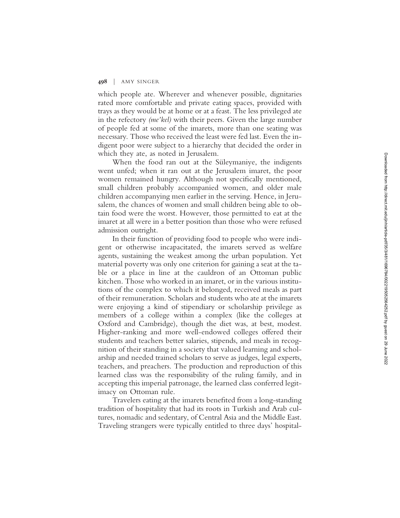which people ate. Wherever and whenever possible, dignitaries rated more comfortable and private eating spaces, provided with trays as they would be at home or at a feast. The less privileged ate in the refectory *(me'kel)* with their peers. Given the large number of people fed at some of the imarets, more than one seating was necessary. Those who received the least were fed last. Even the in digent poor were subject to a hierarchy that decided the order in which they ate, as noted in Jerusalem.

When the food ran out at the Süleymaniye, the indigents went unfed; when it ran out at the Jerusalem imaret, the poor women remained hungry. Although not specifically mentioned, small children probably accompanied women, and older male children accompanying men earlier in the serving. Hence, in Jeru salem, the chances of women and small children being able to obtain food were the worst. However, those permitted to eat at the imaret at all were in a better position than those who were refused admission outright.

In their function of providing food to people who were indigent or otherwise incapacitated, the imarets served as welfare agents, sustaining the weakest among the urban population. Yet material poverty was only one criterion for gaining a seat at the table or a place in line at the cauldron of an Ottoman public kitchen. Those who worked in an imaret, or in the various institutions of the complex to which it belonged, received meals as part of their remuneration. Scholars and students who ate at the imarets were enjoying a kind of stipendiary or scholarship privilege as members of a college within a complex (like the colleges at Oxford and Cambridge), though the diet was, at best, modest. Higher-ranking and more well-endowed colleges offered their students and teachers better salaries, stipends, and meals in recog nition of their standing in a society that valued learning and schol arship and needed trained scholars to serve as judges, legal experts, teachers, and preachers. The production and reproduction of this learned class was the responsibility of the ruling family, and in accepting this imperial patronage, the learned class conferred legit imacy on Ottoman rule.

Travelers eating at the imarets benefited from a long-standing tradition of hospitality that had its roots in Turkish and Arab cul tures, nomadic and sedentary, of Central Asia and the Middle East. Traveling strangers were typically entitled to three days' hospital -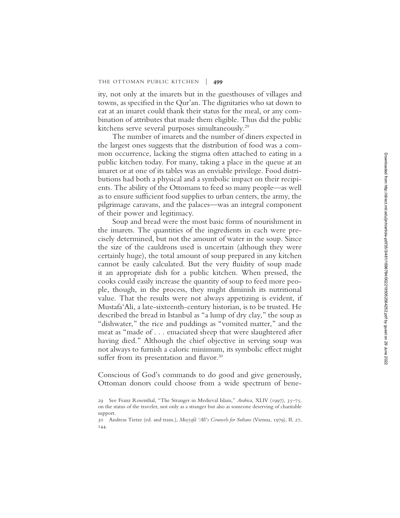ity, not only at the imarets but in the guesthouses of villages and towns, as specified in the Qur'an. The dignitaries who sat down to eat at an imaret could thank their status for the meal, or any com bination of attributes that made them eligible. Thus did the public kitchens serve several purposes simultaneously.<sup>29</sup>

The number of imarets and the number of diners expected in the largest ones suggests that the distribution of food was a com mon occurrence, lacking the stigma often attached to eating in a public kitchen today. For many, taking a place in the queue at an imaret or at one of its tables was an enviable privilege. Food distri butions had both a physical and a symbolic impact on their recipi ents. The ability of the Ottomans to feed so many people—as well as to ensure sufficient food supplies to urban centers, the army, the pilgrimage caravans, and the palaces—was an integral component of their power and legitimacy.

Soup and bread were the most basic forms of nourishment in the imarets. The quantities of the ingredients in each were precisely determined, but not the amount of water in the soup. Since the size of the cauldrons used is uncertain (although they were certainly huge), the total amount of soup prepared in any kitchen cannot be easily calculated. But the very fluidity of soup made it an appropriate dish for a public kitchen. When pressed, the cooks could easily increase the quantity of soup to feed more people, though, in the process, they might diminish its nutritional value. That the results were not always appetizing is evident, if Mustafa'Ali, a late-sixteenth-century historian, is to be trusted. He described the bread in Istanbul as "a lump of dry clay," the soup as "dishwater," the rice and puddings as "vomited matter," and the meat as "made of... emaciated sheep that were slaughtered after having died." Although the chief objective in serving soup was not always to furnish a caloric minimum, its symbolic effect might suffer from its presentation and flavor. $30$ 

Conscious of God's commands to do good and give generously, Ottoman donors could choose from a wide spectrum of bene -

<sup>29</sup> See Franz Rosenthal, "The Stranger in Medieval Islam," *Arabica,* XLIV (1997), 35–75, on the status of the traveler, not only as a stranger but also as someone deserving of charitable support.

<sup>30</sup> Andreas Tietze (ed. and trans.), *Mus. t.afa 'Al i's Counsels for Sultans* (Vienna, 1979), II, 27, 144.